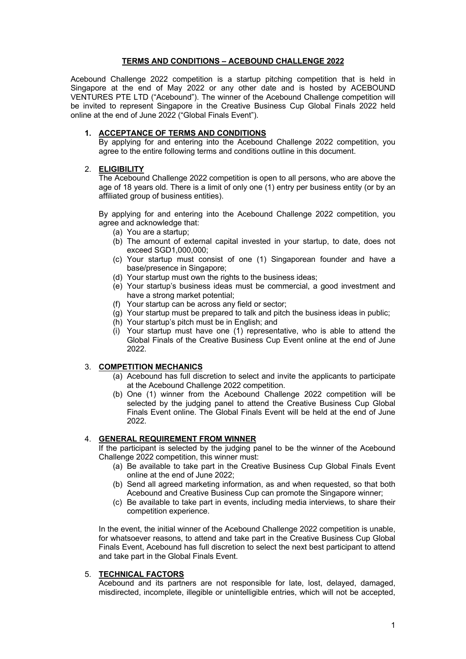#### **TERMS AND CONDITIONS – ACEBOUND CHALLENGE 2022**

Acebound Challenge 2022 competition is a startup pitching competition that is held in Singapore at the end of May 2022 or any other date and is hosted by ACEBOUND VENTURES PTE LTD ("Acebound"). The winner of the Acebound Challenge competition will be invited to represent Singapore in the Creative Business Cup Global Finals 2022 held online at the end of June 2022 ("Global Finals Event").

#### **1. ACCEPTANCE OF TERMS AND CONDITIONS**

By applying for and entering into the Acebound Challenge 2022 competition, you agree to the entire following terms and conditions outline in this document.

#### 2. **ELIGIBILITY**

The Acebound Challenge 2022 competition is open to all persons, who are above the age of 18 years old. There is a limit of only one (1) entry per business entity (or by an affiliated group of business entities).

By applying for and entering into the Acebound Challenge 2022 competition, you agree and acknowledge that:

- (a) You are a startup;
- (b) The amount of external capital invested in your startup, to date, does not exceed SGD1,000,000;
- (c) Your startup must consist of one (1) Singaporean founder and have a base/presence in Singapore;
- (d) Your startup must own the rights to the business ideas;
- (e) Your startup's business ideas must be commercial, a good investment and have a strong market potential;
- (f) Your startup can be across any field or sector;
- $(q)$  Your startup must be prepared to talk and pitch the business ideas in public;
- (h) Your startup's pitch must be in English; and
- (i) Your startup must have one (1) representative, who is able to attend the Global Finals of the Creative Business Cup Event online at the end of June 2022.

# 3. **COMPETITION MECHANICS**

- (a) Acebound has full discretion to select and invite the applicants to participate at the Acebound Challenge 2022 competition.
- (b) One (1) winner from the Acebound Challenge 2022 competition will be selected by the judging panel to attend the Creative Business Cup Global Finals Event online. The Global Finals Event will be held at the end of June 2022.

### 4. **GENERAL REQUIREMENT FROM WINNER**

If the participant is selected by the judging panel to be the winner of the Acebound Challenge 2022 competition, this winner must:

- (a) Be available to take part in the Creative Business Cup Global Finals Event online at the end of June 2022;
- (b) Send all agreed marketing information, as and when requested, so that both Acebound and Creative Business Cup can promote the Singapore winner;
- (c) Be available to take part in events, including media interviews, to share their competition experience.

In the event, the initial winner of the Acebound Challenge 2022 competition is unable, for whatsoever reasons, to attend and take part in the Creative Business Cup Global Finals Event, Acebound has full discretion to select the next best participant to attend and take part in the Global Finals Event.

#### 5. **TECHNICAL FACTORS**

Acebound and its partners are not responsible for late, lost, delayed, damaged, misdirected, incomplete, illegible or unintelligible entries, which will not be accepted,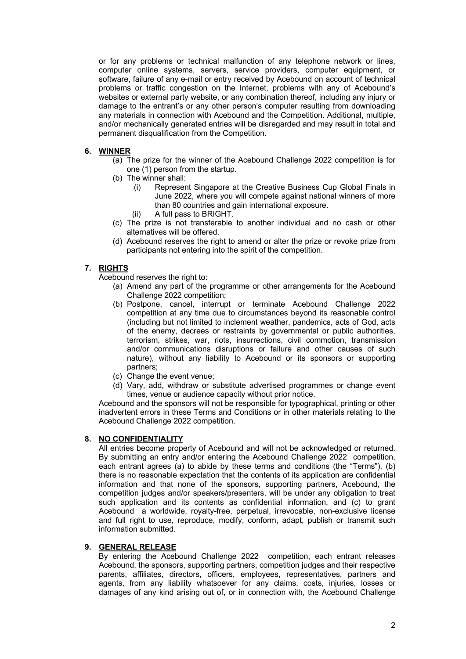or for any problems or technical malfunction of any telephone network or lines, computer online systems, servers, service providers, computer equipment, or software, failure of any e-mail or entry received by Acebound on account of technical problems or traffic congestion on the Internet, problems with any of Acebound's websites or external party website, or any combination thereof, including any injury or damage to the entrant's or any other person's computer resulting from downloading any materials in connection with Acebound and the Competition. Additional, multiple, and/or mechanically generated entries will be disregarded and may result in total and permanent disqualification from the Competition.

# **6. WINNER**

- (a) The prize for the winner of the Acebound Challenge 2022 competition is for one (1) person from the startup.
- (b) The winner shall:
	- (i) Represent Singapore at the Creative Business Cup Global Finals in June 2022, where you will compete against national winners of more than 80 countries and gain international exposure.
	- (ii) A full pass to BRIGHT.
- (c) The prize is not transferable to another individual and no cash or other alternatives will be offered.
- (d) Acebound reserves the right to amend or alter the prize or revoke prize from participants not entering into the spirit of the competition.

# **7. RIGHTS**

Acebound reserves the right to:

- (a) Amend any part of the programme or other arrangements for the Acebound Challenge 2022 competition;
- (b) Postpone, cancel, interrupt or terminate Acebound Challenge 2022 competition at any time due to circumstances beyond its reasonable control (including but not limited to inclement weather, pandemics, acts of God, acts of the enemy, decrees or restraints by governmental or public authorities, terrorism, strikes, war, riots, insurrections, civil commotion, transmission and/or communications disruptions or failure and other causes of such nature), without any liability to Acebound or its sponsors or supporting partners;
- (c) Change the event venue;
- (d) Vary, add, withdraw or substitute advertised programmes or change event times, venue or audience capacity without prior notice.

Acebound and the sponsors will not be responsible for typographical, printing or other inadvertent errors in these Terms and Conditions or in other materials relating to the Acebound Challenge 2022 competition.

### **8. NO CONFIDENTIALITY**

All entries become property of Acebound and will not be acknowledged or returned. By submitting an entry and/or entering the Acebound Challenge 2022 competition, each entrant agrees (a) to abide by these terms and conditions (the "Terms"), (b) there is no reasonable expectation that the contents of its application are confidential information and that none of the sponsors, supporting partners, Acebound, the competition judges and/or speakers/presenters, will be under any obligation to treat such application and its contents as confidential information, and (c) to grant Acebound a worldwide, royalty-free, perpetual, irrevocable, non-exclusive license and full right to use, reproduce, modify, conform, adapt, publish or transmit such information submitted.

### **9. GENERAL RELEASE**

By entering the Acebound Challenge 2022 competition, each entrant releases Acebound, the sponsors, supporting partners, competition judges and their respective parents, affiliates, directors, officers, employees, representatives, partners and agents, from any liability whatsoever for any claims, costs, injuries, losses or damages of any kind arising out of, or in connection with, the Acebound Challenge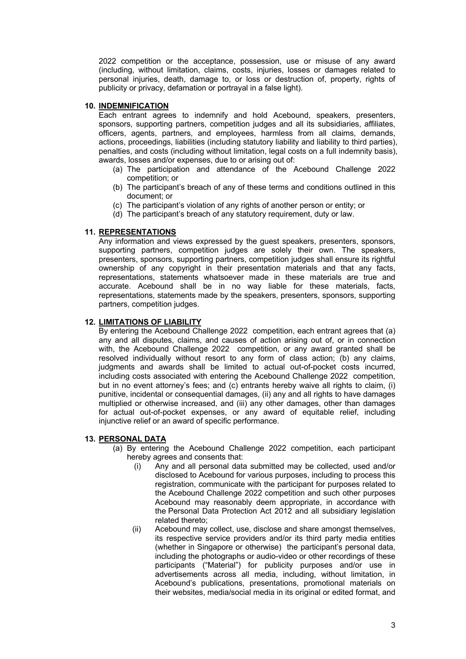2022 competition or the acceptance, possession, use or misuse of any award (including, without limitation, claims, costs, injuries, losses or damages related to personal injuries, death, damage to, or loss or destruction of, property, rights of publicity or privacy, defamation or portrayal in a false light).

### **10. INDEMNIFICATION**

Each entrant agrees to indemnify and hold Acebound, speakers, presenters, sponsors, supporting partners, competition judges and all its subsidiaries, affiliates, officers, agents, partners, and employees, harmless from all claims, demands, actions, proceedings, liabilities (including statutory liability and liability to third parties), penalties, and costs (including without limitation, legal costs on a full indemnity basis), awards, losses and/or expenses, due to or arising out of:

- (a) The participation and attendance of the Acebound Challenge 2022 competition; or
- (b) The participant's breach of any of these terms and conditions outlined in this document; or
- (c) The participant's violation of any rights of another person or entity; or
- (d) The participant's breach of any statutory requirement, duty or law.

### **11. REPRESENTATIONS**

Any information and views expressed by the guest speakers, presenters, sponsors, supporting partners, competition judges are solely their own. The speakers, presenters, sponsors, supporting partners, competition judges shall ensure its rightful ownership of any copyright in their presentation materials and that any facts, representations, statements whatsoever made in these materials are true and accurate. Acebound shall be in no way liable for these materials, facts, representations, statements made by the speakers, presenters, sponsors, supporting partners, competition judges.

#### **12. LIMITATIONS OF LIABILITY**

By entering the Acebound Challenge 2022 competition, each entrant agrees that (a) any and all disputes, claims, and causes of action arising out of, or in connection with, the Acebound Challenge 2022 competition, or any award granted shall be resolved individually without resort to any form of class action; (b) any claims, judgments and awards shall be limited to actual out-of-pocket costs incurred, including costs associated with entering the Acebound Challenge 2022 competition, but in no event attorney's fees; and (c) entrants hereby waive all rights to claim, (i) punitive, incidental or consequential damages, (ii) any and all rights to have damages multiplied or otherwise increased, and (iii) any other damages, other than damages for actual out-of-pocket expenses, or any award of equitable relief, including injunctive relief or an award of specific performance.

#### **13. PERSONAL DATA**

- (a) By entering the Acebound Challenge 2022 competition, each participant hereby agrees and consents that:
	- (i) Any and all personal data submitted may be collected, used and/or disclosed to Acebound for various purposes, including to process this registration, communicate with the participant for purposes related to the Acebound Challenge 2022 competition and such other purposes Acebound may reasonably deem appropriate, in accordance with the Personal Data Protection Act 2012 and all subsidiary legislation related thereto;
	- (ii) Acebound may collect, use, disclose and share amongst themselves, its respective service providers and/or its third party media entities (whether in Singapore or otherwise) the participant's personal data, including the photographs or audio-video or other recordings of these participants ("Material") for publicity purposes and/or use in advertisements across all media, including, without limitation, in Acebound's publications, presentations, promotional materials on their websites, media/social media in its original or edited format, and